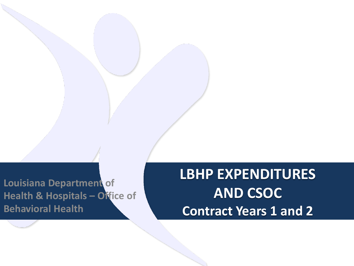**Louisiana Department of Health & Hospitals – Office of Behavioral Health**

**LBHP EXPENDITURES AND CSOC Contract Years 1 and 2**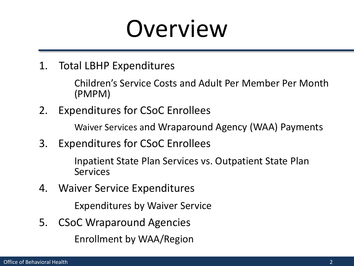#### Overview

1. Total LBHP Expenditures

Children's Service Costs and Adult Per Member Per Month (PMPM)

2. Expenditures for CSoC Enrollees

Waiver Services and Wraparound Agency (WAA) Payments

3. Expenditures for CSoC Enrollees

Inpatient State Plan Services vs. Outpatient State Plan Services

4. Waiver Service Expenditures

Expenditures by Waiver Service

5. CSoC Wraparound Agencies Enrollment by WAA/Region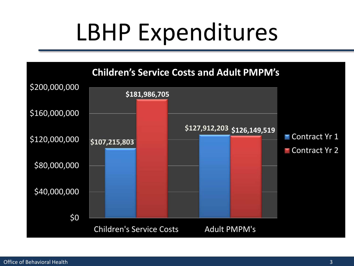## LBHP Expenditures

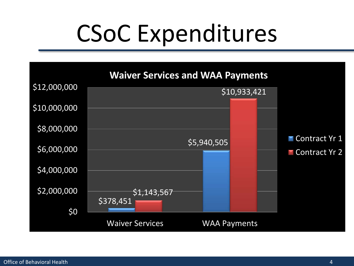# CSoC Expenditures

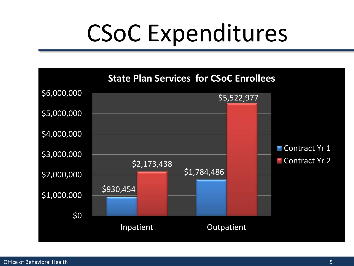## CSoC Expenditures

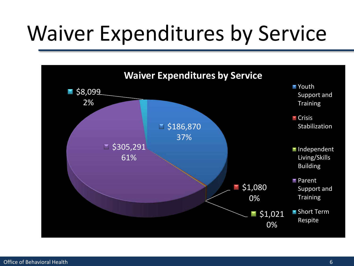#### Waiver Expenditures by Service